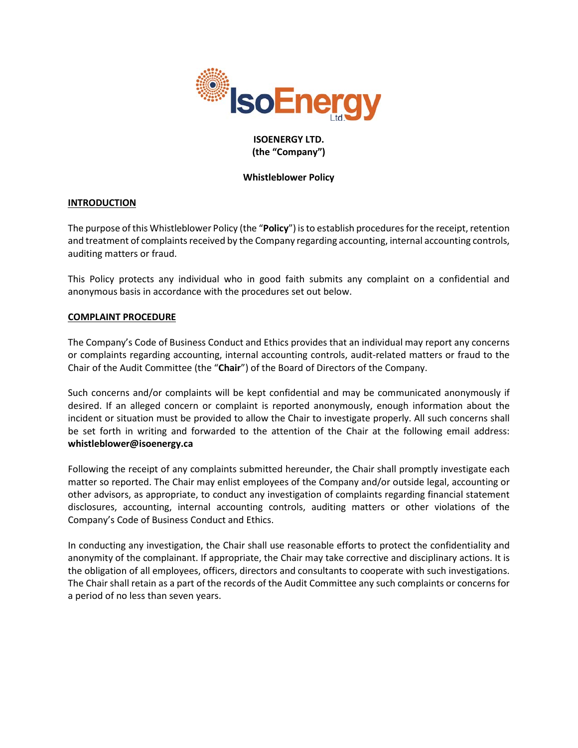

# **ISOENERGY LTD. (the "Company")**

## **Whistleblower Policy**

# **INTRODUCTION**

The purpose of this Whistleblower Policy (the "**Policy**") is to establish procedures for the receipt, retention and treatment of complaints received by the Company regarding accounting, internal accounting controls, auditing matters or fraud.

This Policy protects any individual who in good faith submits any complaint on a confidential and anonymous basis in accordance with the procedures set out below.

#### **COMPLAINT PROCEDURE**

The Company's Code of Business Conduct and Ethics provides that an individual may report any concerns or complaints regarding accounting, internal accounting controls, audit-related matters or fraud to the Chair of the Audit Committee (the "**Chair**") of the Board of Directors of the Company.

Such concerns and/or complaints will be kept confidential and may be communicated anonymously if desired. If an alleged concern or complaint is reported anonymously, enough information about the incident or situation must be provided to allow the Chair to investigate properly. All such concerns shall be set forth in writing and forwarded to the attention of the Chair at the following email address: **whistleblower@isoenergy.ca**

Following the receipt of any complaints submitted hereunder, the Chair shall promptly investigate each matter so reported. The Chair may enlist employees of the Company and/or outside legal, accounting or other advisors, as appropriate, to conduct any investigation of complaints regarding financial statement disclosures, accounting, internal accounting controls, auditing matters or other violations of the Company's Code of Business Conduct and Ethics.

In conducting any investigation, the Chair shall use reasonable efforts to protect the confidentiality and anonymity of the complainant. If appropriate, the Chair may take corrective and disciplinary actions. It is the obligation of all employees, officers, directors and consultants to cooperate with such investigations. The Chair shall retain as a part of the records of the Audit Committee any such complaints or concerns for a period of no less than seven years.